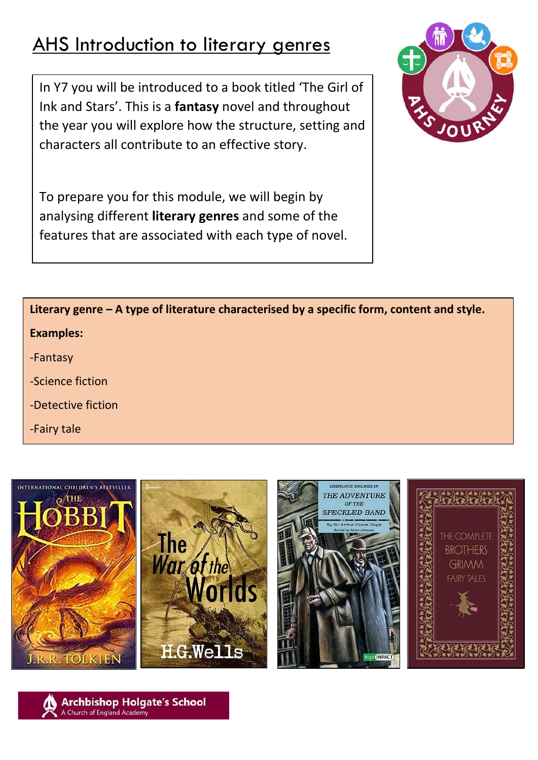# AHS Introduction to literary genres

In Y7 you will be introduced to a book titled 'The Girl of Ink and Stars'. This is a **fantasy** novel and throughout the year you will explore how the structure, setting and characters all contribute to an effective story.



To prepare you for this module, we will begin by analysing different **literary genres** and some of the features that are associated with each type of novel.

**Literary genre – A type of literature characterised by a specific form, content and style. Examples:**

- -Fantasy
- -Science fiction
- -Detective fiction
- -Fairy tale







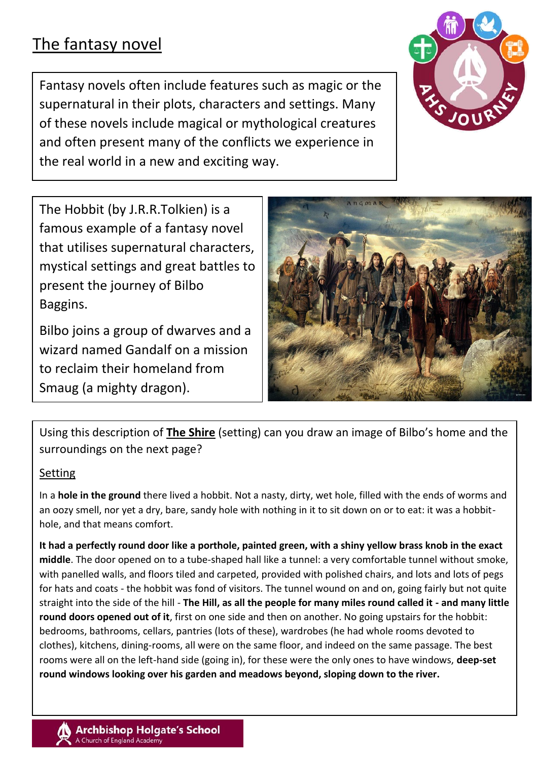## The fantasy novel

Fantasy novels often include features such as magic or the supernatural in their plots, characters and settings. Many of these novels include magical or mythological creatures and often present many of the conflicts we experience in the real world in a new and exciting way.



The Hobbit (by J.R.R.Tolkien) is a famous example of a fantasy novel that utilises supernatural characters, mystical settings and great battles to present the journey of Bilbo Baggins.

Bilbo joins a group of dwarves and a wizard named Gandalf on a mission to reclaim their homeland from Smaug (a mighty dragon).



Using this description of **The Shire** (setting) can you draw an image of Bilbo's home and the surroundings on the next page?

#### Setting

In a **hole in the ground** there lived a hobbit. Not a nasty, dirty, wet hole, filled with the ends of worms and an oozy smell, nor yet a dry, bare, sandy hole with nothing in it to sit down on or to eat: it was a hobbithole, and that means comfort.

**It had a perfectly round door like a porthole, painted green, with a shiny yellow brass knob in the exact middle**. The door opened on to a tube-shaped hall like a tunnel: a very comfortable tunnel without smoke, with panelled walls, and floors tiled and carpeted, provided with polished chairs, and lots and lots of pegs for hats and coats - the hobbit was fond of visitors. The tunnel wound on and on, going fairly but not quite straight into the side of the hill - **The Hill, as all the people for many miles round called it - and many little round doors opened out of it**, first on one side and then on another. No going upstairs for the hobbit: bedrooms, bathrooms, cellars, pantries (lots of these), wardrobes (he had whole rooms devoted to clothes), kitchens, dining-rooms, all were on the same floor, and indeed on the same passage. The best rooms were all on the left-hand side (going in), for these were the only ones to have windows, **deep-set round windows looking over his garden and meadows beyond, sloping down to the river.**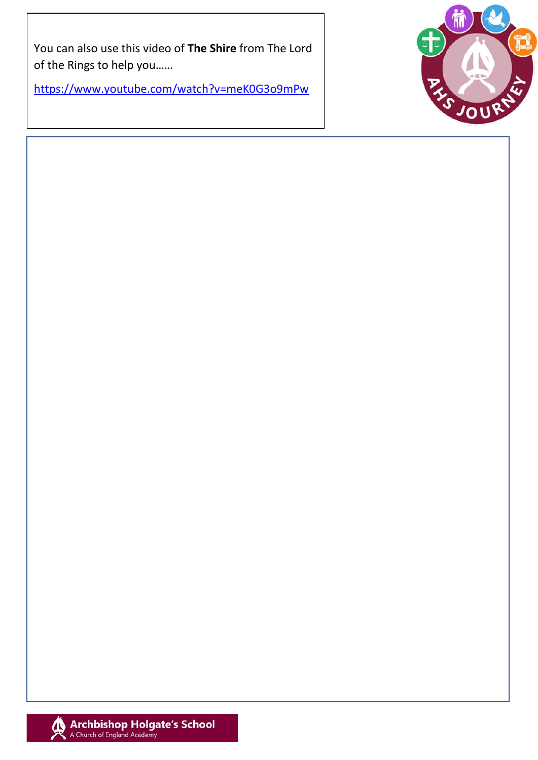You can also use this video of The Shire from The Lord of the Rings to help you......

https://www.youtube.com/watch?v=meK0G3o9mPw



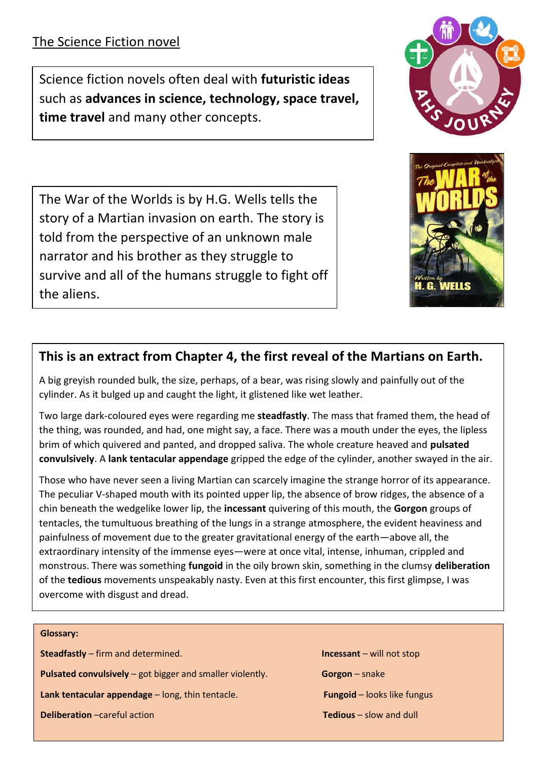Science fiction novels often deal with **futuristic ideas** such as **advances in science, technology, space travel, time travel** and many other concepts.

The War of the Worlds is by H.G. Wells tells the story of a Martian invasion on earth. The story is told from the perspective of an unknown male narrator and his brother as they struggle to survive and all of the humans struggle to fight off the aliens.

### **This is an extract from Chapter 4, the first reveal of the Martians on Earth.**

A big greyish rounded bulk, the size, perhaps, of a bear, was rising slowly and painfully out of the cylinder. As it bulged up and caught the light, it glistened like wet leather.

Two large dark-coloured eyes were regarding me **steadfastly**. The mass that framed them, the head of the thing, was rounded, and had, one might say, a face. There was a mouth under the eyes, the lipless brim of which quivered and panted, and dropped saliva. The whole creature heaved and **pulsated convulsively**. A **lank tentacular appendage** gripped the edge of the cylinder, another swayed in the air.

Those who have never seen a living Martian can scarcely imagine the strange horror of its appearance. The peculiar V-shaped mouth with its pointed upper lip, the absence of brow ridges, the absence of a chin beneath the wedgelike lower lip, the **incessant** quivering of this mouth, the **Gorgon** groups of tentacles, the tumultuous breathing of the lungs in a strange atmosphere, the evident heaviness and painfulness of movement due to the greater gravitational energy of the earth—above all, the extraordinary intensity of the immense eyes—were at once vital, intense, inhuman, crippled and monstrous. There was something **fungoid** in the oily brown skin, something in the clumsy **deliberation** of the **tedious** movements unspeakably nasty. Even at this first encounter, this first glimpse, I was overcome with disgust and dread.

**Glossary: Steadfastly** – firm and determined. **Incessant** – will not stop **Pulsated convulsively** – got bigger and smaller violently. **Gorgon** – snake **Lank tentacular appendage** – long, thin tentacle. **Fungoid** – looks like fungus **Deliberation** –careful action **Tedious** – slow and dull



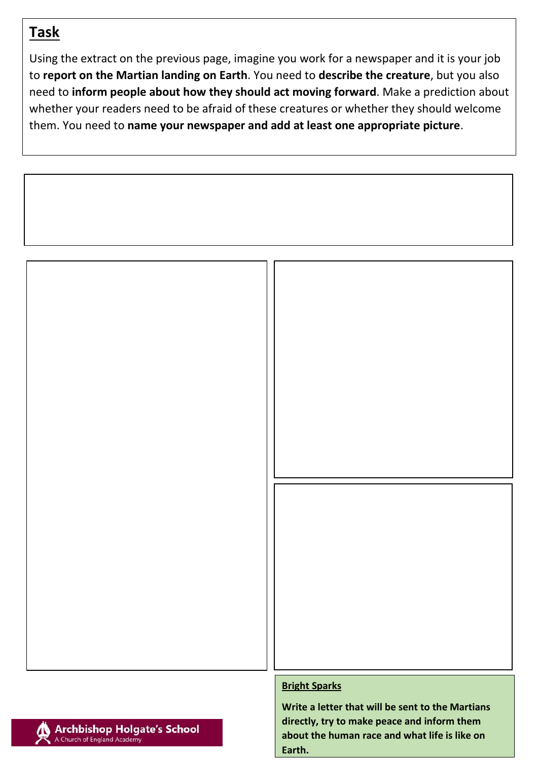## **Task**

Using the extract on the previous page, imagine you work for a newspaper and it is your job to **report on the Martian landing on Earth**. You need to **describe the creature**, but you also need to **inform people about how they should act moving forward**. Make a prediction about whether your readers need to be afraid of these creatures or whether they should welcome them. You need to **name your newspaper and add at least one appropriate picture**.





#### **Bright Sparks**

**Write a letter that will be sent to the Martians directly, try to make peace and inform them about the human race and what life is like on Earth.**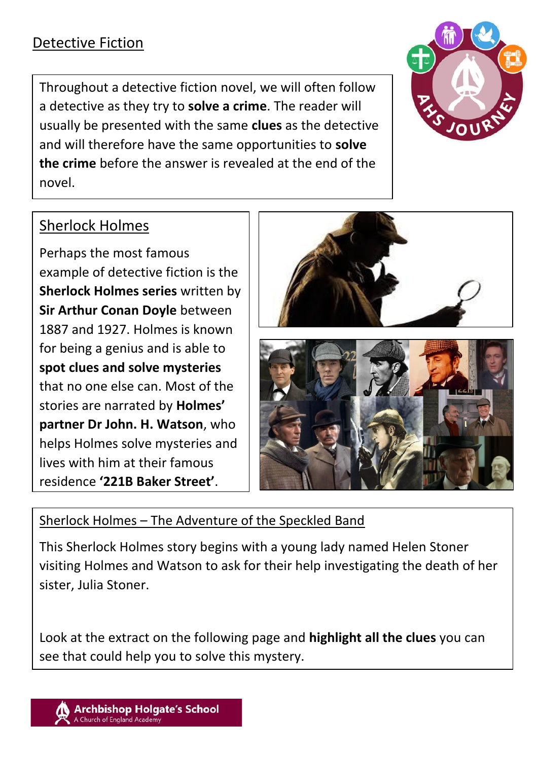## Detective Fiction

Throughout a detective fiction novel, we will often follow a detective as they try to **solve a crime**. The reader will usually be presented with the same **clues** as the detective and will therefore have the same opportunities to **solve the crime** before the answer is revealed at the end of the novel.



## Sherlock Holmes

Perhaps the most famous example of detective fiction is the **Sherlock Holmes series** written by **Sir Arthur Conan Doyle** between 1887 and 1927. Holmes is known for being a genius and is able to **spot clues and solve mysteries** that no one else can. Most of the stories are narrated by **Holmes' partner Dr John. H. Watson**, who helps Holmes solve mysteries and lives with him at their famous residence **'221B Baker Street'**.



### Sherlock Holmes – The Adventure of the Speckled Band

This Sherlock Holmes story begins with a young lady named Helen Stoner visiting Holmes and Watson to ask for their help investigating the death of her sister, Julia Stoner.

Look at the extract on the following page and **highlight all the clues** you can see that could help you to solve this mystery.

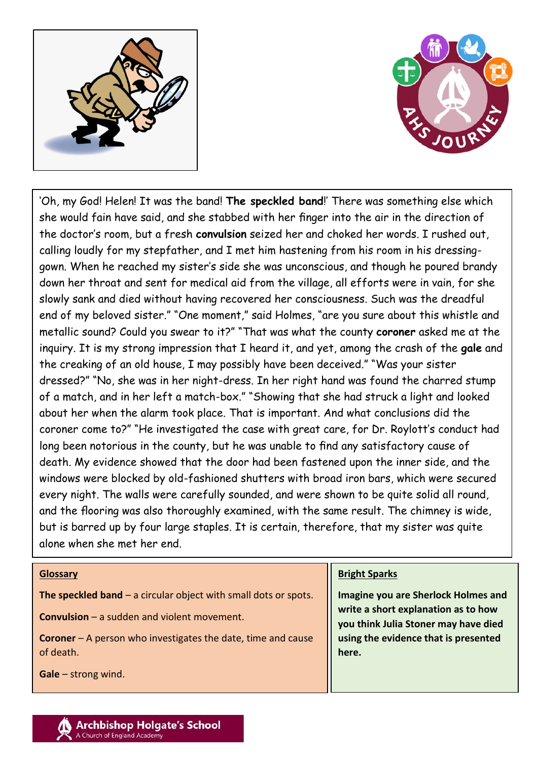



'Oh, my God! Helen! It was the band! **The speckled band**!' There was something else which she would fain have said, and she stabbed with her finger into the air in the direction of the doctor's room, but a fresh **convulsion** seized her and choked her words. I rushed out, calling loudly for my stepfather, and I met him hastening from his room in his dressinggown. When he reached my sister's side she was unconscious, and though he poured brandy down her throat and sent for medical aid from the village, all efforts were in vain, for she slowly sank and died without having recovered her consciousness. Such was the dreadful end of my beloved sister." "One moment," said Holmes, "are you sure about this whistle and metallic sound? Could you swear to it?" "That was what the county **coroner** asked me at the inquiry. It is my strong impression that I heard it, and yet, among the crash of the **gale** and the creaking of an old house, I may possibly have been deceived." "Was your sister dressed?" "No, she was in her night-dress. In her right hand was found the charred stump of a match, and in her left a match-box." "Showing that she had struck a light and looked about her when the alarm took place. That is important. And what conclusions did the coroner come to?" "He investigated the case with great care, for Dr. Roylott's conduct had long been notorious in the county, but he was unable to find any satisfactory cause of death. My evidence showed that the door had been fastened upon the inner side, and the windows were blocked by old-fashioned shutters with broad iron bars, which were secured every night. The walls were carefully sounded, and were shown to be quite solid all round, and the flooring was also thoroughly examined, with the same result. The chimney is wide, but is barred up by four large staples. It is certain, therefore, that my sister was quite alone when she met her end.

#### **Glossary The speckled band** – a circular object with small dots or spots. **Convulsion** – a sudden and violent movement. **Coroner** – A person who investigates the date, time and cause of death. **Gale** – strong wind. **Bright Sparks Imagine you are Sherlock Holmes and write a short explanation as to how you think Julia Stoner may have died using the evidence that is presented here.**

#### **Archbishop Holgate's School** A Church of England Academy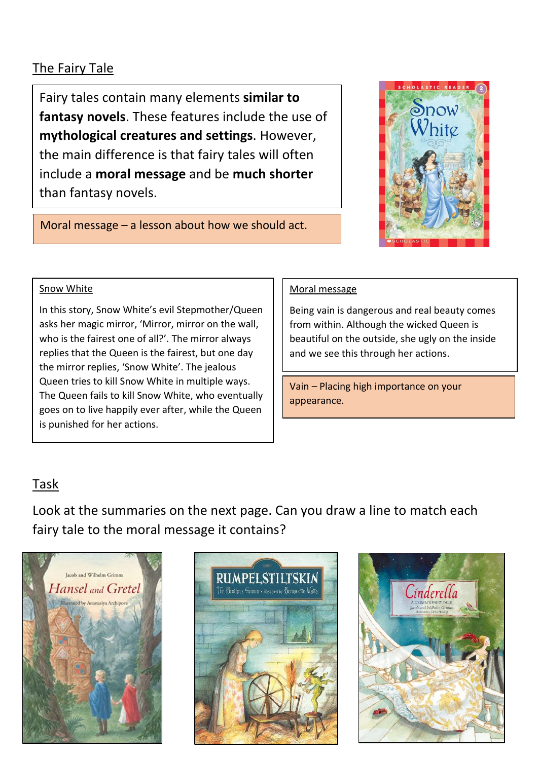### The Fairy Tale

Fairy tales contain many elements **similar to fantasy novels**. These features include the use of **mythological creatures and settings**. However, the main difference is that fairy tales will often include a **moral message** and be **much shorter** than fantasy novels.



Moral message – a lesson about how we should act.

#### Snow White

In this story, Snow White's evil Stepmother/Queen asks her magic mirror, 'Mirror, mirror on the wall, who is the fairest one of all?'. The mirror always replies that the Queen is the fairest, but one day the mirror replies, 'Snow White'. The jealous Queen tries to kill Snow White in multiple ways. The Queen fails to kill Snow White, who eventually goes on to live happily ever after, while the Queen is punished for her actions.

#### Moral message

Being vain is dangerous and real beauty comes from within. Although the wicked Queen is beautiful on the outside, she ugly on the inside and we see this through her actions.

Vain – Placing high importance on your appearance.

### Task

Look at the summaries on the next page. Can you draw a line to match each fairy tale to the moral message it contains?





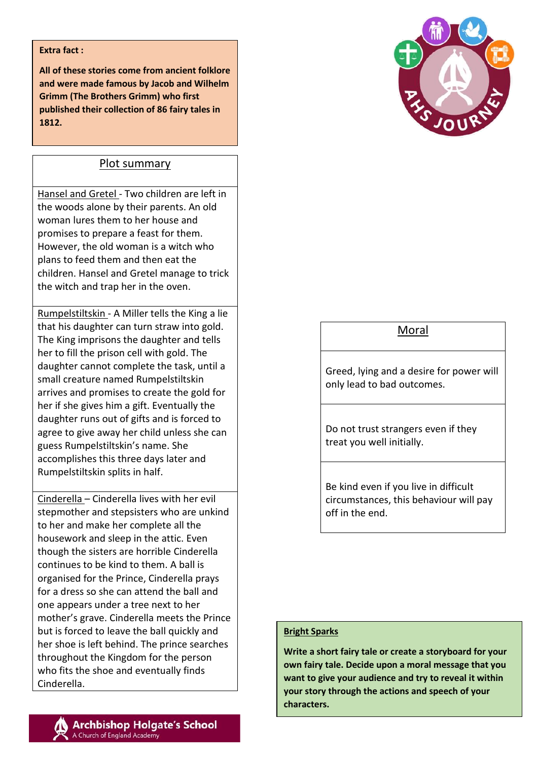#### **Extra fact :**

**All of these stories come from ancient folklore and were made famous by Jacob and Wilhelm Grimm (The Brothers Grimm) who first published their collection of 86 fairy tales in 1812.**

#### Plot summary

Hansel and Gretel - Two children are left in the woods alone by their parents. An old woman lures them to her house and promises to prepare a feast for them. However, the old woman is a witch who plans to feed them and then eat the children. Hansel and Gretel manage to trick the witch and trap her in the oven.

Rumpelstiltskin - A Miller tells the King a lie that his daughter can turn straw into gold. The King imprisons the daughter and tells her to fill the prison cell with gold. The daughter cannot complete the task, until a small creature named Rumpelstiltskin arrives and promises to create the gold for her if she gives him a gift. Eventually the daughter runs out of gifts and is forced to agree to give away her child unless she can guess Rumpelstiltskin's name. She accomplishes this three days later and Rumpelstiltskin splits in half.

Cinderella – Cinderella lives with her evil stepmother and stepsisters who are unkind to her and make her complete all the housework and sleep in the attic. Even though the sisters are horrible Cinderella continues to be kind to them. A ball is organised for the Prince, Cinderella prays for a dress so she can attend the ball and one appears under a tree next to her mother's grave. Cinderella meets the Prince but is forced to leave the ball quickly and her shoe is left behind. The prince searches throughout the Kingdom for the person who fits the shoe and eventually finds Cinderella.



### Moral

Greed, lying and a desire for power will only lead to bad outcomes.

Do not trust strangers even if they treat you well initially.

Be kind even if you live in difficult circumstances, this behaviour will pay off in the end.

#### **Bright Sparks**

**Write a short fairy tale or create a storyboard for your own fairy tale. Decide upon a moral message that you want to give your audience and try to reveal it within your story through the actions and speech of your characters.**

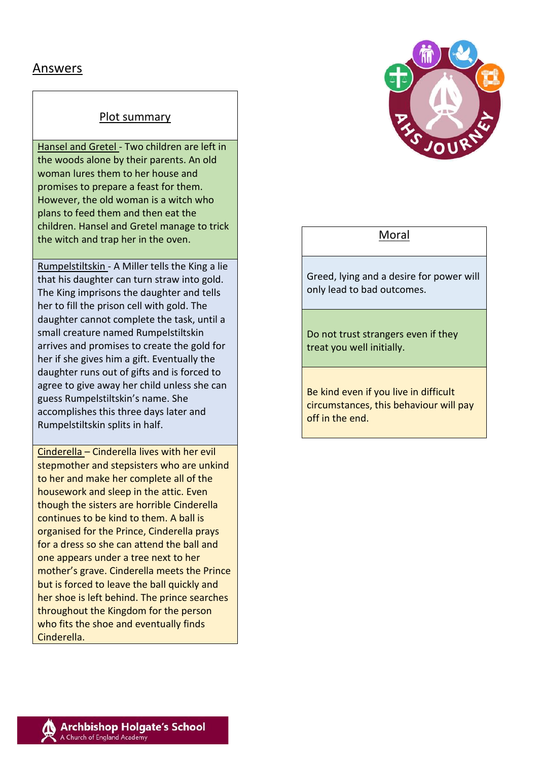### Answers

#### Plot summary

Hansel and Gretel - Two children are left in the woods alone by their parents. An old woman lures them to her house and promises to prepare a feast for them. However, the old woman is a witch who plans to feed them and then eat the children. Hansel and Gretel manage to trick the witch and trap her in the oven.

Rumpelstiltskin - A Miller tells the King a lie that his daughter can turn straw into gold. The King imprisons the daughter and tells her to fill the prison cell with gold. The daughter cannot complete the task, until a small creature named Rumpelstiltskin arrives and promises to create the gold for her if she gives him a gift. Eventually the daughter runs out of gifts and is forced to agree to give away her child unless she can guess Rumpelstiltskin's name. She accomplishes this three days later and Rumpelstiltskin splits in half.

Cinderella – Cinderella lives with her evil stepmother and stepsisters who are unkind to her and make her complete all of the housework and sleep in the attic. Even though the sisters are horrible Cinderella continues to be kind to them. A ball is organised for the Prince, Cinderella prays for a dress so she can attend the ball and one appears under a tree next to her mother's grave. Cinderella meets the Prince but is forced to leave the ball quickly and her shoe is left behind. The prince searches throughout the Kingdom for the person who fits the shoe and eventually finds Cinderella.



#### Moral

Greed, lying and a desire for power will only lead to bad outcomes.

Do not trust strangers even if they treat you well initially.

Be kind even if you live in difficult circumstances, this behaviour will pay off in the end.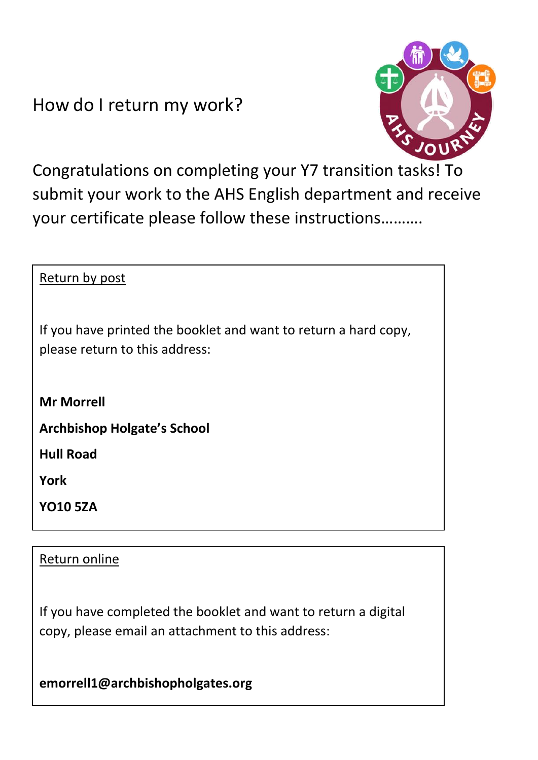How do I return my work?



Congratulations on completing your Y7 transition tasks! To submit your work to the AHS English department and receive your certificate please follow these instructions……….

| Return by post                                                                                    |
|---------------------------------------------------------------------------------------------------|
| If you have printed the booklet and want to return a hard copy,<br>please return to this address: |
| <b>Mr Morrell</b>                                                                                 |
| <b>Archbishop Holgate's School</b>                                                                |
| <b>Hull Road</b>                                                                                  |
| <b>York</b>                                                                                       |
| <b>YO10 5ZA</b>                                                                                   |
|                                                                                                   |

### Return online

If you have completed the booklet and want to return a digital copy, please email an attachment to this address:

**emorrell1@archbishopholgates.org**